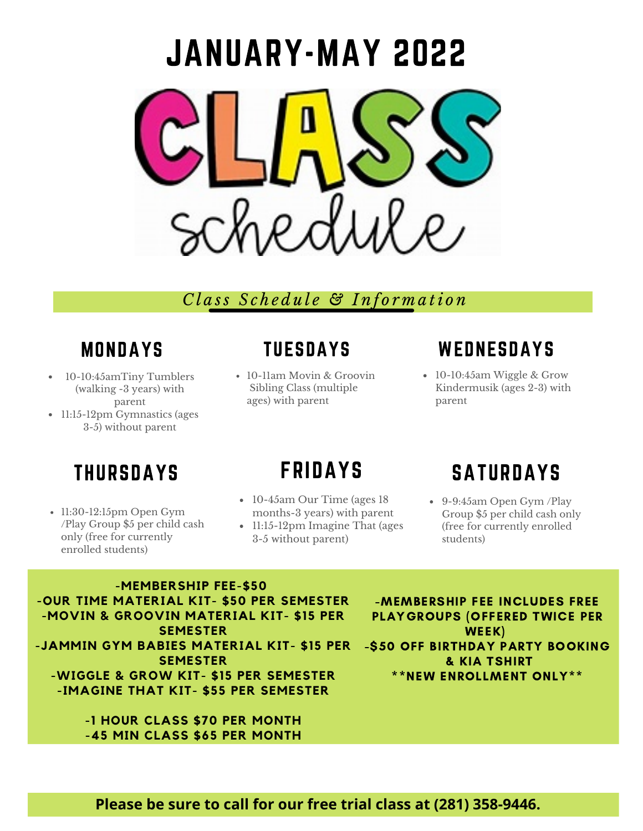

## *C l a ss S c h e d u l e & I n f o r m a ti o n*

## MONDAYS

- 10-10:45amTiny Tumblers (walking -3 years) with parent
- 11:15-12pm Gymnastics (ages 3-5) without parent

## TUESDAYS

10-11am Movin & Groovin Sibling Class (multiple ages) with parent

## **WEDNESDAYS**

10-10:45am Wiggle & Grow Kindermusik (ages 2-3) with parent

# THURSDAYS

• 11:30-12:15pm Open Gym /Play Group \$5 per child cash only (free for currently enrolled students)

# FRIDAYS

- 10-45am Our Time (ages 18 months-3 years) with parent
- 11:15-12pm Imagine That (ages 3-5 without parent)

# **SATURDAYS**

9-9:45am Open Gym /Play Group \$5 per child cash only (free for currently enrolled students)

**-MEMBERSHIP FEE-\$50 -OUR TIME MATERIAL KIT- \$50 PER SEMESTER -MOVIN & GROOVIN MATERIAL KIT- \$15 PER SEMESTER -JAMMIN GYM BABIES MATERIAL KIT- \$15 PER SEMESTER -WIGGLE & GROW KIT- \$15 PER SEMESTER -IMAGINE THAT KIT- \$55 PER SEMESTER**

> **-1 HOUR CLASS \$70 PER MONTH -45 MIN CLASS \$65 PER MONTH**

-MEMBERSHIP FEE INCLUDES FREE PLAYGROUPS (OFFERED TWICE PER WEEK) -\$50 OFF BIRTHDAY PARTY BOOKING & KIA TSHIRT \*\*NEW ENROLLMENT ONLY\*\*

#### **Please be sure to call for our free trial class at (281) 358-9446.**